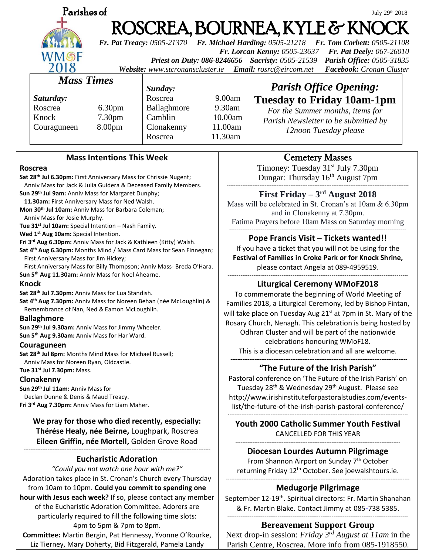

# July 29th 2018 ROSCREA, BOURNEA, KYLE & KNO

*Fr. Pat Treacy: 0505-21370 Fr. Michael Harding: 0505-21218 Fr. Tom Corbett: 0505-21108 Fr. Lorcan Kenny: 0505-23637 Fr. Pat Deely: 067-26010 Priest on Duty: 086-8246656 Sacristy: 0505-21539 Parish Office: 0505-31835 Website: [www.stcronanscluster.ie](http://www.stcronanscluster.ie/) Email: [rosrc@eircom.net](mailto:rosrc@eircom.net) Facebook: Cronan Cluster* 

### *Mass Times*

*Saturday:* Roscrea 6.30pm Knock 7.30pm Couraguneen 8.00pm

*Sunday:*

Roscrea 9.00am Ballaghmore 9.30am Camblin 10.00am Clonakenny 11.00am Roscrea 11.30am

# *Parish Office Opening:* **Tuesday to Friday 10am-1pm**

*For the Summer months, items for Parish Newsletter to be submitted by 12noon Tuesday please*

### **Mass Intentions This Week**

#### **Roscrea**

**Sat 28th Jul 6.30pm:** First Anniversary Mass for Chrissie Nugent; Anniv Mass for Jack & Julia Guidera & Deceased Family Members. **Sun 29th Jul 9am:** Anniv Mass for Margaret Dunphy;  **11.30am:** First Anniversary Mass for Ned Walsh. **Mon 30th Jul 10am:** Anniv Mass for Barbara Coleman; Anniv Mass for Josie Murphy. **Tue 31st Jul 10am:** Special Intention – Nash Family. **Wed 1st Aug 10am:** Special Intention. **Fri 3rd Aug 6.30pm:** Anniv Mass for Jack & Kathleen (Kitty) Walsh. **Sat 4th Aug 6.30pm:** Months Mind / Mass Card Mass for Sean Finnegan; First Anniversary Mass for Jim Hickey; First Anniversary Mass for Billy Thompson; Anniv Mass- Breda O'Hara. **Sun 5th Aug 11.30am:** Anniv Mass for Noel Ahearne. **Knock Sat 28th Jul 7.30pm:** Anniv Mass for Lua Standish. **Sat 4th Aug 7.30pm:** Anniv Mass for Noreen Behan (née McLoughlin) & Remembrance of Nan, Ned & Eamon McLoughlin. **Ballaghmore**

**Sun 29th Jul 9.30am:** Anniv Mass for Jimmy Wheeler.

**Sun 5th Aug 9.30am:** Anniv Mass for Har Ward.

### **Couraguneen**

**Sat 28th Jul 8pm:** Months Mind Mass for Michael Russell; Anniv Mass for Noreen Ryan, Oldcastle.

**Tue 31st Jul 7.30pm:** Mass.

### **Clonakenny**

**Sun 29th Jul 11am:** Anniv Mass for Declan Dunne & Denis & Maud Treacy. **Fri 3rd Aug 7.30pm:** Anniv Mass for Liam Maher.

> **We pray for those who died recently, especially: Thérése Healy, née Beirne,** Loughpark, Roscrea **Eileen Griffin, née Mortell,** Golden Grove Road

#### **------------------------------------------------------------------------------------------------------------- Eucharistic Adoration**

*"Could you not watch one hour with me?"* Adoration takes place in St. Cronan's Church every Thursday from 10am to 10pm. **Could you commit to spending one hour with Jesus each week?** If so, please contact any member of the Eucharistic Adoration Committee. Adorers are particularly required to fill the following time slots: 4pm to 5pm & 7pm to 8pm. **Committee:** Martin Bergin, Pat Hennessy, Yvonne O'Rourke,

Liz Tierney, Mary Doherty, Bid Fitzgerald, Pamela Landy

# Cemetery Masses

Timoney: Tuesday 31<sup>st</sup> July 7.30pm Dungar: Thursday 16<sup>th</sup> August 7pm

#### **---------------------------------------------------------------------------------------------------------- First Friday – 3 rd August 2018**

Mass will be celebrated in St. Cronan's at 10am & 6.30pm and in Clonakenny at 7.30pm. Fatima Prayers before 10am Mass on Saturday morning -----------------------------------------------------------------------------------------------

### **Pope Francis Visit – Tickets wanted!!**

If you have a ticket that you will not be using for the **Festival of Families in Croke Park or for Knock Shrine,** please contact Angela at 089-4959519.

-------------------------------------------------------------------------------------------------

# **Liturgical Ceremony WMoF2018**

To commemorate the beginning of World Meeting of Families 2018, a Liturgical Ceremony, led by Bishop Fintan, will take place on Tuesday Aug  $21<sup>st</sup>$  at 7pm in St. Mary of the Rosary Church, Nenagh. This celebration is being hosted by Odhran Cluster and will be part of the nationwide celebrations honouring WMoF18. This is a diocesan celebration and all are welcome.

#### **------------------------------------------------------------------------------------------------------- "The Future of the Irish Parish"**

Pastoral conference on 'The Future of the Irish Parish' on Tuesday 28<sup>th</sup> & Wednesday 29<sup>th</sup> August. Please see [http://www.irishinstituteforpastoralstudies.com/events](http://www.irishinstituteforpastoralstudies.com/events-list/the-future-of-the-irish-parish-pastoral-conference/)[list/the-future-of-the-irish-parish-pastoral-conference/](http://www.irishinstituteforpastoralstudies.com/events-list/the-future-of-the-irish-parish-pastoral-conference/) **-**--------------------------------------------------------------------------------------------------------

**Youth 2000 Catholic Summer Youth Festival** CANCELLED FOR THIS YEAR

**------------------------------------------------------------------------------------------------ Diocesan Lourdes Autumn Pilgrimage** From Shannon Airport on Sunday 7<sup>th</sup> October

returning Friday 12<sup>th</sup> October. See joewalshtours.ie. -----------------------------------------------------------------------------------------------------------

# **Medugorje Pilgrimage**

September 12-19<sup>th</sup>. Spiritual directors: Fr. Martin Shanahan & Fr. Martin Blake. Contact Jimmy at 085-[738 5385.](callto:(085)%20738%205385) **-------------------------------------------------------------------------------------------------**

# **Bereavement Support Group**

Next drop-in session: *Friday 3 rd August at 11am* in the Parish Centre, Roscrea. More info from 085-1918550.